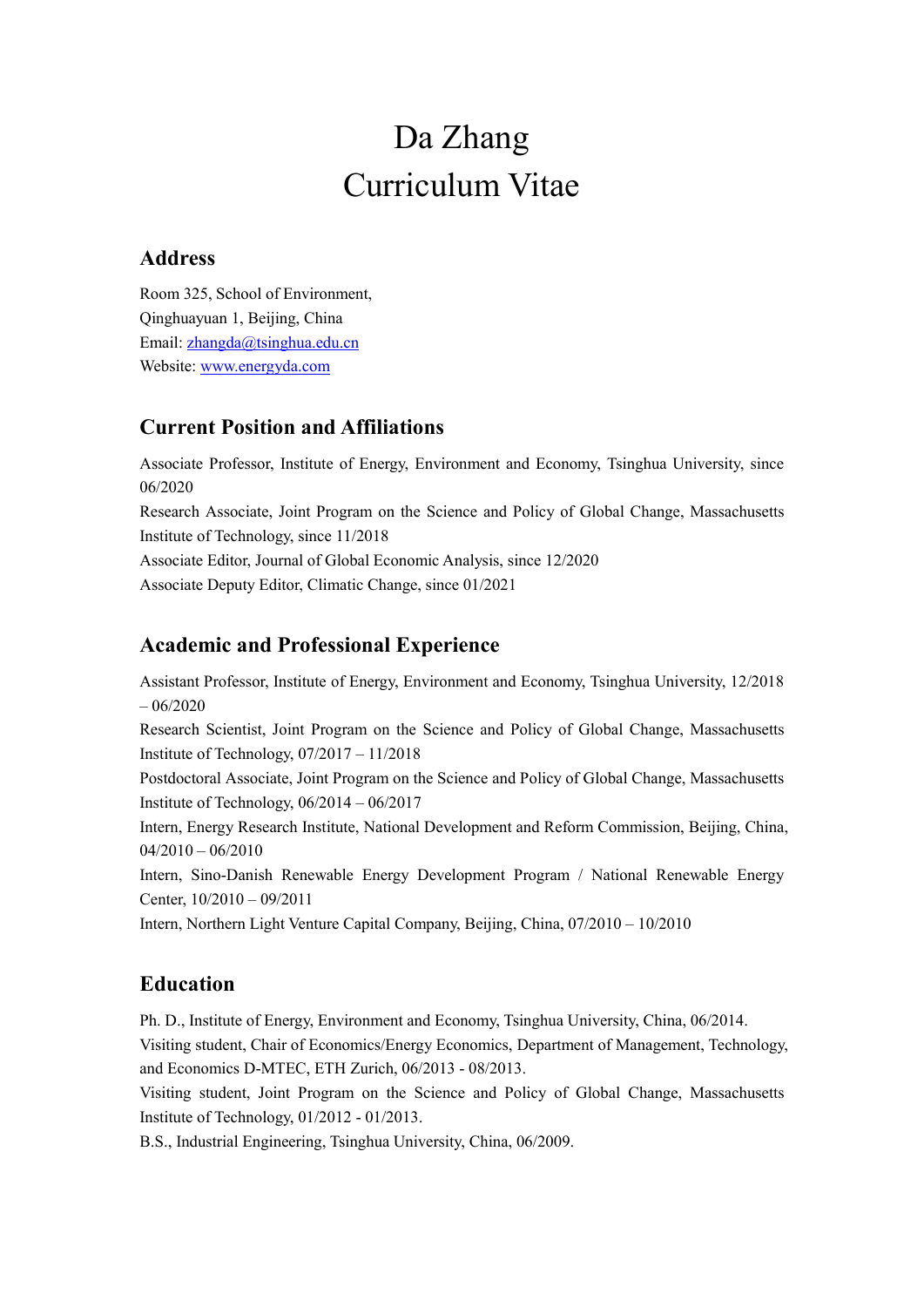# Da Zhang Curriculum Vitae

## **Address**

Room 325, School of Environment, Qinghuayuan 1, Beijing, China Email: [zhangda@tsinghua.edu.cn](mailto:zhangda@tsinghua.edu.cn) Website: [www.energyda.com](http://www.energyda.com/)

# **Current Position and Affiliations**

Associate Professor, Institute of Energy, Environment and Economy, Tsinghua University, since 06/2020

Research Associate, Joint Program on the Science and Policy of Global Change, Massachusetts Institute of Technology, since 11/2018

Associate Editor, Journal of Global Economic Analysis, since 12/2020

Associate Deputy Editor, Climatic Change, since 01/2021

# **Academic and Professional Experience**

Assistant Professor, Institute of Energy, Environment and Economy, Tsinghua University, 12/2018 – 06/2020

Research Scientist, Joint Program on the Science and Policy of Global Change, Massachusetts Institute of Technology, 07/2017 – 11/2018

Postdoctoral Associate, Joint Program on the Science and Policy of Global Change, Massachusetts Institute of Technology, 06/2014 – 06/2017

Intern, Energy Research Institute, National Development and Reform Commission, Beijing, China, 04/2010 – 06/2010

Intern, Sino-Danish Renewable Energy Development Program / National Renewable Energy Center, 10/2010 – 09/2011

Intern, Northern Light Venture Capital Company, Beijing, China, 07/2010 – 10/2010

# **Education**

Ph. D., Institute of Energy, Environment and Economy, Tsinghua University, China, 06/2014. Visiting student, Chair of Economics/Energy Economics, Department of Management, Technology, and Economics D-MTEC, ETH Zurich, 06/2013 - 08/2013.

Visiting student, Joint Program on the Science and Policy of Global Change, Massachusetts Institute of Technology, 01/2012 - 01/2013.

B.S., Industrial Engineering, Tsinghua University, China, 06/2009.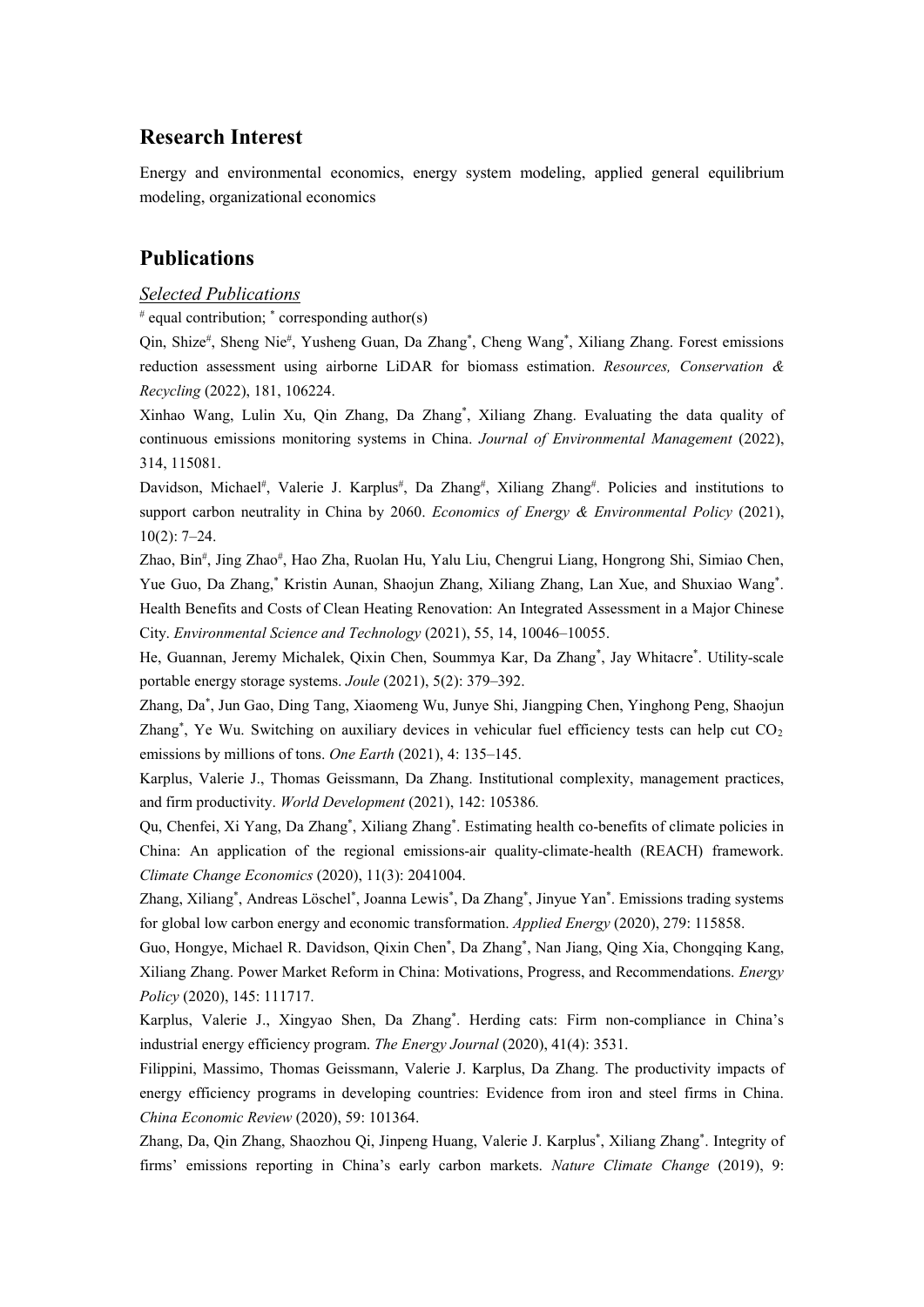### **Research Interest**

Energy and environmental economics, energy system modeling, applied general equilibrium modeling, organizational economics

### **Publications**

### *Selected Publications*

 $*$  equal contribution;  $*$  corresponding author(s)

Qin, Shize<sup>#</sup>, Sheng Nie<sup>#</sup>, Yusheng Guan, Da Zhang<sup>\*</sup>, Cheng Wang<sup>\*</sup>, Xiliang Zhang. Forest emissions reduction assessment using airborne LiDAR for biomass estimation. *Resources, Conservation & Recycling* (2022), 181, 106224.

Xinhao Wang, Lulin Xu, Qin Zhang, Da Zhang\* , Xiliang Zhang. Evaluating the data quality of continuous emissions monitoring systems in China. *Journal of Environmental Management* (2022), 314, 115081.

Davidson, Michael<sup>#</sup>, Valerie J. Karplus<sup>#</sup>, Da Zhang<sup>#</sup>, Xiliang Zhang<sup>#</sup>. Policies and institutions to support carbon neutrality in China by 2060. *Economics of Energy & Environmental Policy* (2021), 10(2): 7–24.

Zhao, Bin# , Jing Zhao# , Hao Zha, Ruolan Hu, Yalu Liu, Chengrui Liang, Hongrong Shi, Simiao Chen, Yue Guo, Da Zhang,\* Kristin Aunan, Shaojun Zhang, Xiliang Zhang, Lan Xue, and Shuxiao Wang\* . Health Benefits and Costs of Clean Heating Renovation: An Integrated Assessment in a Major Chinese City. *Environmental Science and Technology* (2021), 55, 14, 10046–10055.

He, Guannan, Jeremy Michalek, Qixin Chen, Soummya Kar, Da Zhang\* , Jay Whitacre\* . Utility-scale portable energy storage systems. *Joule* (2021), 5(2): 379–392.

Zhang, Da\* , Jun Gao, Ding Tang, Xiaomeng Wu, Junye Shi, Jiangping Chen, Yinghong Peng, Shaojun Zhang<sup>\*</sup>, Ye Wu. Switching on auxiliary devices in vehicular fuel efficiency tests can help cut CO<sub>2</sub> emissions by millions of tons. *One Earth* (2021), 4: 135–145.

Karplus, Valerie J., Thomas Geissmann, Da Zhang. Institutional complexity, management practices, and firm productivity. *World Development* (2021), 142: 105386*.*

Qu, Chenfei, Xi Yang, Da Zhang\* , Xiliang Zhang\* . Estimating health co-benefits of climate policies in China: An application of the regional emissions-air quality-climate-health (REACH) framework. *Climate Change Economics* (2020), 11(3): 2041004.

Zhang, Xiliang\*, Andreas Löschel\*, Joanna Lewis\*, Da Zhang\*, Jinyue Yan\*. Emissions trading systems for global low carbon energy and economic transformation. *Applied Energy* (2020), 279: 115858.

Guo, Hongye, Michael R. Davidson, Qixin Chen\* , Da Zhang\* , Nan Jiang, Qing Xia, Chongqing Kang, Xiliang Zhang. Power Market Reform in China: Motivations, Progress, and Recommendations. *Energy Policy* (2020), 145: 111717.

Karplus, Valerie J., Xingyao Shen, Da Zhang\* . Herding cats: Firm non-compliance in China's industrial energy efficiency program. *The Energy Journal* (2020), 41(4): 3531.

Filippini, Massimo, Thomas Geissmann, Valerie J. Karplus, Da Zhang. The productivity impacts of energy efficiency programs in developing countries: Evidence from iron and steel firms in China. *China Economic Review* (2020), 59: 101364.

Zhang, Da, Qin Zhang, Shaozhou Qi, Jinpeng Huang, Valerie J. Karplus\* , Xiliang Zhang\* . Integrity of firms' emissions reporting in China's early carbon markets. *Nature Climate Change* (2019), 9: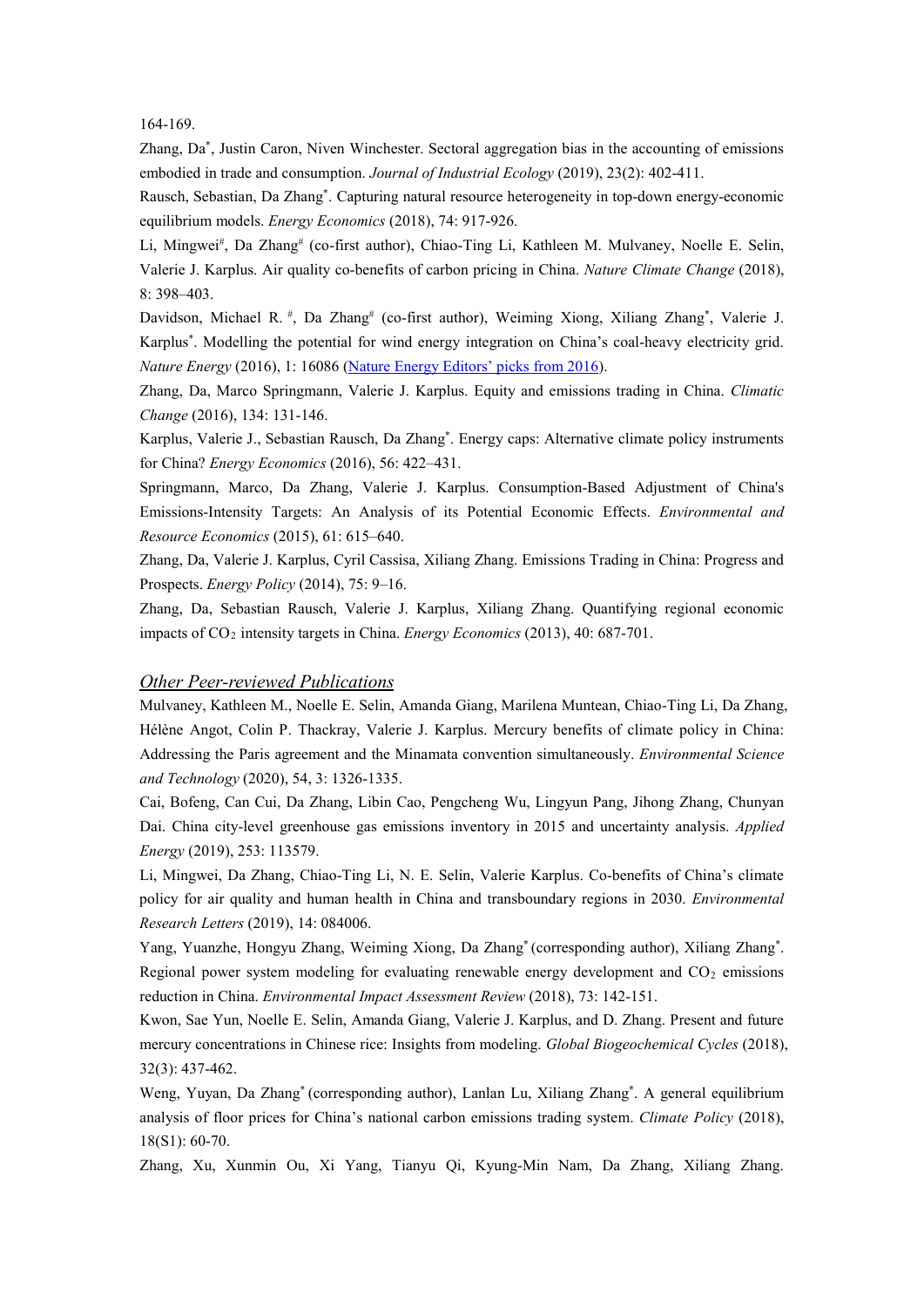#### 164-169.

Zhang, Da\* , Justin Caron, Niven Winchester. Sectoral aggregation bias in the accounting of emissions embodied in trade and consumption. *Journal of Industrial Ecology* (2019), 23(2): 402-411.

Rausch, Sebastian, Da Zhang\* . Capturing natural resource heterogeneity in top-down energy-economic equilibrium models. *Energy Economics* (2018), 74: 917-926.

Li, Mingwei#, Da Zhang# (co-first author), Chiao-Ting Li, Kathleen M. Mulvaney, Noelle E. Selin, Valerie J. Karplus. Air quality co-benefits of carbon pricing in China. *Nature Climate Change* (2018), 8: 398–403.

Davidson, Michael R.<sup>#</sup>, Da Zhang<sup>#</sup> (co-first author), Weiming Xiong, Xiliang Zhang<sup>\*</sup>, Valerie J. Karplus\* . Modelling the potential for wind energy integration on China's coal-heavy electricity grid. *Nature Energy* (2016), 1: 16086 [\(Nature Energy Editors' picks from 2016\)](http://www.nature.com/content/NatureEnergy1stAnniversary/index.html?WT.mc_id=EMX_NE_1701_Anniversary&WT.ec_id=EXTERNAL).

Zhang, Da, Marco Springmann, Valerie J. Karplus. Equity and emissions trading in China. *Climatic Change* (2016), 134: 131-146.

Karplus, Valerie J., Sebastian Rausch, Da Zhang\* . Energy caps: Alternative climate policy instruments for China? *Energy Economics* (2016), 56: 422–431.

Springmann, Marco, Da Zhang, Valerie J. Karplus. Consumption-Based Adjustment of China's Emissions-Intensity Targets: An Analysis of its Potential Economic Effects. *Environmental and Resource Economics* (2015), 61: 615–640.

Zhang, Da, Valerie J. Karplus, Cyril Cassisa, Xiliang Zhang. Emissions Trading in China: Progress and Prospects. *Energy Policy* (2014), 75: 9–16.

Zhang, Da, Sebastian Rausch, Valerie J. Karplus, Xiliang Zhang. Quantifying regional economic impacts of CO2 intensity targets in China. *Energy Economics* (2013), 40: 687-701.

#### *Other Peer-reviewed Publications*

Mulvaney, Kathleen M., Noelle E. Selin, Amanda Giang, Marilena Muntean, Chiao-Ting Li, Da Zhang, Hélène Angot, Colin P. Thackray, Valerie J. Karplus. Mercury benefits of climate policy in China: Addressing the Paris agreement and the Minamata convention simultaneously. *Environmental Science and Technology* (2020), 54, 3: 1326-1335.

Cai, Bofeng, Can Cui, Da Zhang, Libin Cao, Pengcheng Wu, Lingyun Pang, Jihong Zhang, Chunyan Dai. China city-level greenhouse gas emissions inventory in 2015 and uncertainty analysis. *Applied Energy* (2019), 253: 113579.

Li, Mingwei, Da Zhang, Chiao-Ting Li, N. E. Selin, Valerie Karplus. Co-benefits of China's climate policy for air quality and human health in China and transboundary regions in 2030. *Environmental Research Letters* (2019), 14: 084006.

Yang, Yuanzhe, Hongyu Zhang, Weiming Xiong, Da Zhang\* (corresponding author), Xiliang Zhang\* . Regional power system modeling for evaluating renewable energy development and  $CO<sub>2</sub>$  emissions reduction in China. *Environmental Impact Assessment Review* (2018), 73: 142-151.

Kwon, Sae Yun, Noelle E. Selin, Amanda Giang, Valerie J. Karplus, and D. Zhang. Present and future mercury concentrations in Chinese rice: Insights from modeling. *Global Biogeochemical Cycles* (2018), 32(3): 437-462.

Weng, Yuyan, Da Zhang\* (corresponding author), Lanlan Lu, Xiliang Zhang\* . A general equilibrium analysis of floor prices for China's national carbon emissions trading system. *Climate Policy* (2018), 18(S1): 60-70.

Zhang, Xu, Xunmin Ou, Xi Yang, Tianyu Qi, Kyung-Min Nam, Da Zhang, Xiliang Zhang.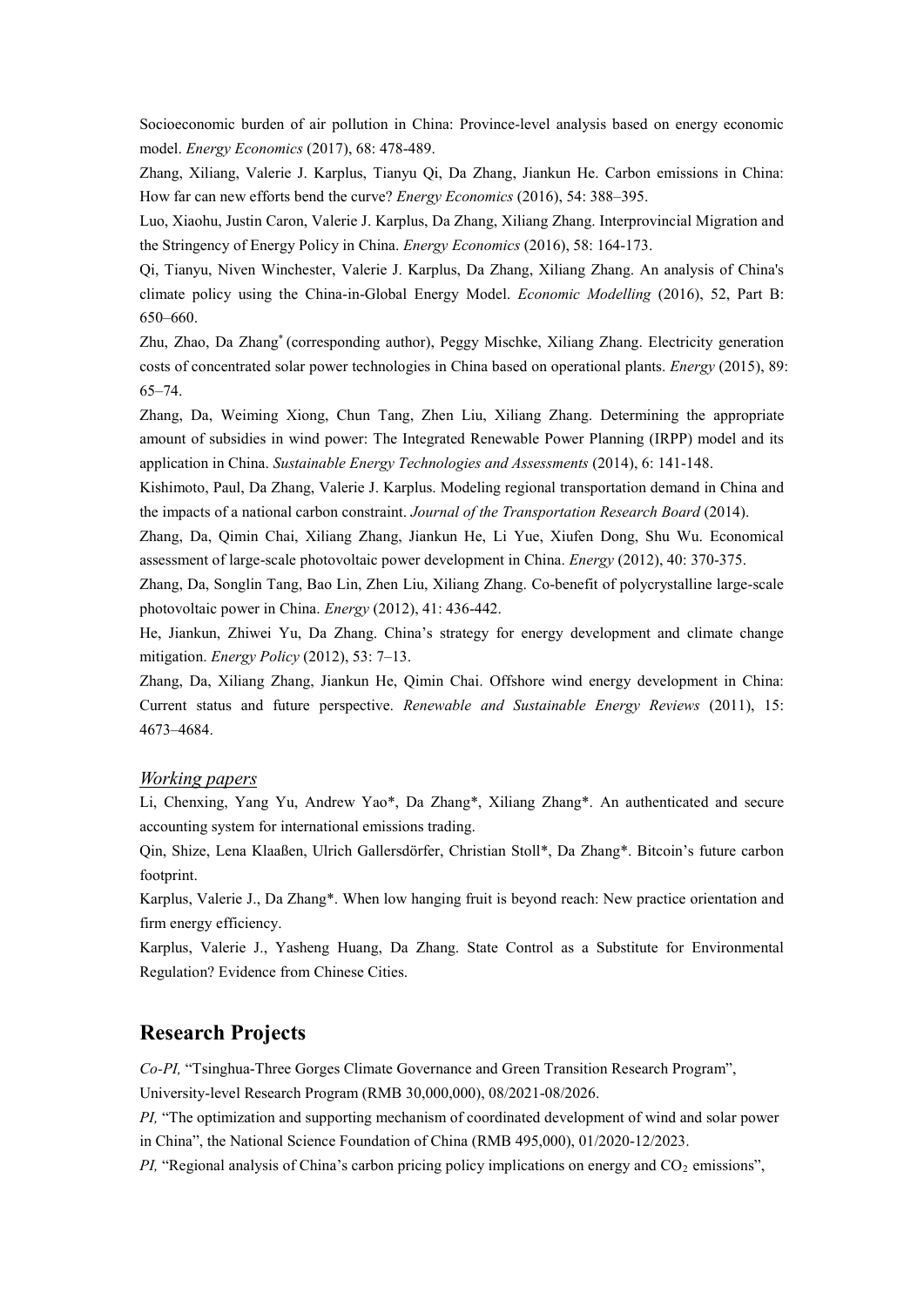Socioeconomic burden of air pollution in China: Province-level analysis based on energy economic model. *Energy Economics* (2017), 68: 478-489.

Zhang, Xiliang, Valerie J. Karplus, Tianyu Qi, Da Zhang, Jiankun He. Carbon emissions in China: How far can new efforts bend the curve? *Energy Economics* (2016), 54: 388–395.

Luo, Xiaohu, Justin Caron, Valerie J. Karplus, Da Zhang, Xiliang Zhang. Interprovincial Migration and the Stringency of Energy Policy in China. *Energy Economics* (2016), 58: 164-173.

Qi, Tianyu, Niven Winchester, Valerie J. Karplus, Da Zhang, Xiliang Zhang. An analysis of China's climate policy using the China-in-Global Energy Model. *Economic Modelling* (2016), 52, Part B: 650–660.

Zhu, Zhao, Da Zhang\* (corresponding author), Peggy Mischke, Xiliang Zhang. Electricity generation costs of concentrated solar power technologies in China based on operational plants. *Energy* (2015), 89: 65–74.

Zhang, Da, Weiming Xiong, Chun Tang, Zhen Liu, Xiliang Zhang. Determining the appropriate amount of subsidies in wind power: The Integrated Renewable Power Planning (IRPP) model and its application in China. *Sustainable Energy Technologies and Assessments* (2014), 6: 141-148.

Kishimoto, Paul, Da Zhang, Valerie J. Karplus. Modeling regional transportation demand in China and the impacts of a national carbon constraint. *Journal of the Transportation Research Board* (2014).

Zhang, Da, Qimin Chai, Xiliang Zhang, Jiankun He, Li Yue, Xiufen Dong, Shu Wu. Economical assessment of large-scale photovoltaic power development in China. *Energy* (2012), 40: 370-375.

Zhang, Da, Songlin Tang, Bao Lin, Zhen Liu, Xiliang Zhang. Co-benefit of polycrystalline large-scale photovoltaic power in China. *Energy* (2012), 41: 436-442.

He, Jiankun, Zhiwei Yu, Da Zhang. China's strategy for energy development and climate change mitigation. *Energy Policy* (2012), 53: 7–13.

Zhang, Da, Xiliang Zhang, Jiankun He, Qimin Chai. Offshore wind energy development in China: Current status and future perspective. *Renewable and Sustainable Energy Reviews* (2011), 15: 4673–4684.

#### *Working papers*

Li, Chenxing, Yang Yu, Andrew Yao\*, Da Zhang\*, Xiliang Zhang\*. An authenticated and secure accounting system for international emissions trading.

Qin, Shize, Lena Klaaßen, Ulrich Gallersdörfer, Christian Stoll\*, Da Zhang\*. Bitcoin's future carbon footprint.

Karplus, Valerie J., Da Zhang\*. When low hanging fruit is beyond reach: New practice orientation and firm energy efficiency.

Karplus, Valerie J., Yasheng Huang, Da Zhang. State Control as a Substitute for Environmental Regulation? Evidence from Chinese Cities.

### **Research Projects**

*Co-PI,* "Tsinghua-Three Gorges Climate Governance and Green Transition Research Program",

University-level Research Program (RMB 30,000,000), 08/2021-08/2026.

*PI,* "The optimization and supporting mechanism of coordinated development of wind and solar power in China", the National Science Foundation of China (RMB 495,000), 01/2020-12/2023.

*PI*, "Regional analysis of China's carbon pricing policy implications on energy and CO<sub>2</sub> emissions",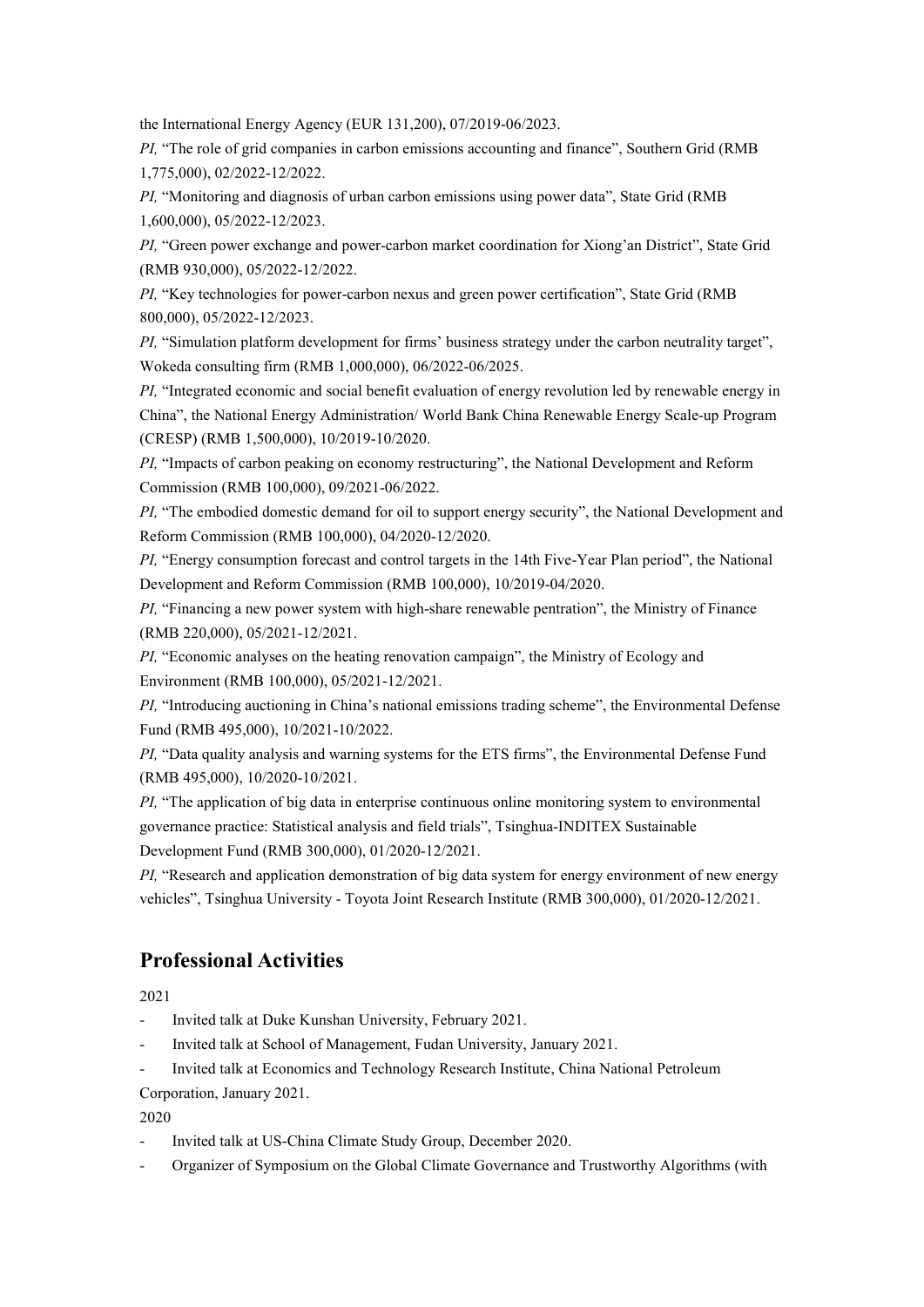the International Energy Agency (EUR 131,200), 07/2019-06/2023.

*PI,* "The role of grid companies in carbon emissions accounting and finance", Southern Grid (RMB 1,775,000), 02/2022-12/2022.

*PI,* "Monitoring and diagnosis of urban carbon emissions using power data", State Grid (RMB 1,600,000), 05/2022-12/2023.

*PI,* "Green power exchange and power-carbon market coordination for Xiong'an District", State Grid (RMB 930,000), 05/2022-12/2022.

*PI,* "Key technologies for power-carbon nexus and green power certification", State Grid (RMB 800,000), 05/2022-12/2023.

*PI*, "Simulation platform development for firms' business strategy under the carbon neutrality target", Wokeda consulting firm (RMB 1,000,000), 06/2022-06/2025.

*PI*, "Integrated economic and social benefit evaluation of energy revolution led by renewable energy in China", the National Energy Administration/ World Bank China Renewable Energy Scale-up Program (CRESP) (RMB 1,500,000), 10/2019-10/2020.

*PI,* "Impacts of carbon peaking on economy restructuring", the National Development and Reform Commission (RMB 100,000), 09/2021-06/2022.

*PI*, "The embodied domestic demand for oil to support energy security", the National Development and Reform Commission (RMB 100,000), 04/2020-12/2020.

*PI,* "Energy consumption forecast and control targets in the 14th Five-Year Plan period", the National Development and Reform Commission (RMB 100,000), 10/2019-04/2020.

*PI,* "Financing a new power system with high-share renewable pentration", the Ministry of Finance (RMB 220,000), 05/2021-12/2021.

*PI,* "Economic analyses on the heating renovation campaign", the Ministry of Ecology and Environment (RMB 100,000), 05/2021-12/2021.

*PI,* "Introducing auctioning in China's national emissions trading scheme", the Environmental Defense Fund (RMB 495,000), 10/2021-10/2022.

*PI,* "Data quality analysis and warning systems for the ETS firms", the Environmental Defense Fund (RMB 495,000), 10/2020-10/2021.

*PI*, "The application of big data in enterprise continuous online monitoring system to environmental governance practice: Statistical analysis and field trials", Tsinghua-INDITEX Sustainable Development Fund (RMB 300,000), 01/2020-12/2021.

*PI,* "Research and application demonstration of big data system for energy environment of new energy vehicles", Tsinghua University - Toyota Joint Research Institute (RMB 300,000), 01/2020-12/2021.

### **Professional Activities**

2021

Invited talk at Duke Kunshan University, February 2021.

- Invited talk at School of Management, Fudan University, January 2021.

Invited talk at Economics and Technology Research Institute, China National Petroleum Corporation, January 2021.

2020

Invited talk at US-China Climate Study Group, December 2020.

- Organizer of Symposium on the Global Climate Governance and Trustworthy Algorithms (with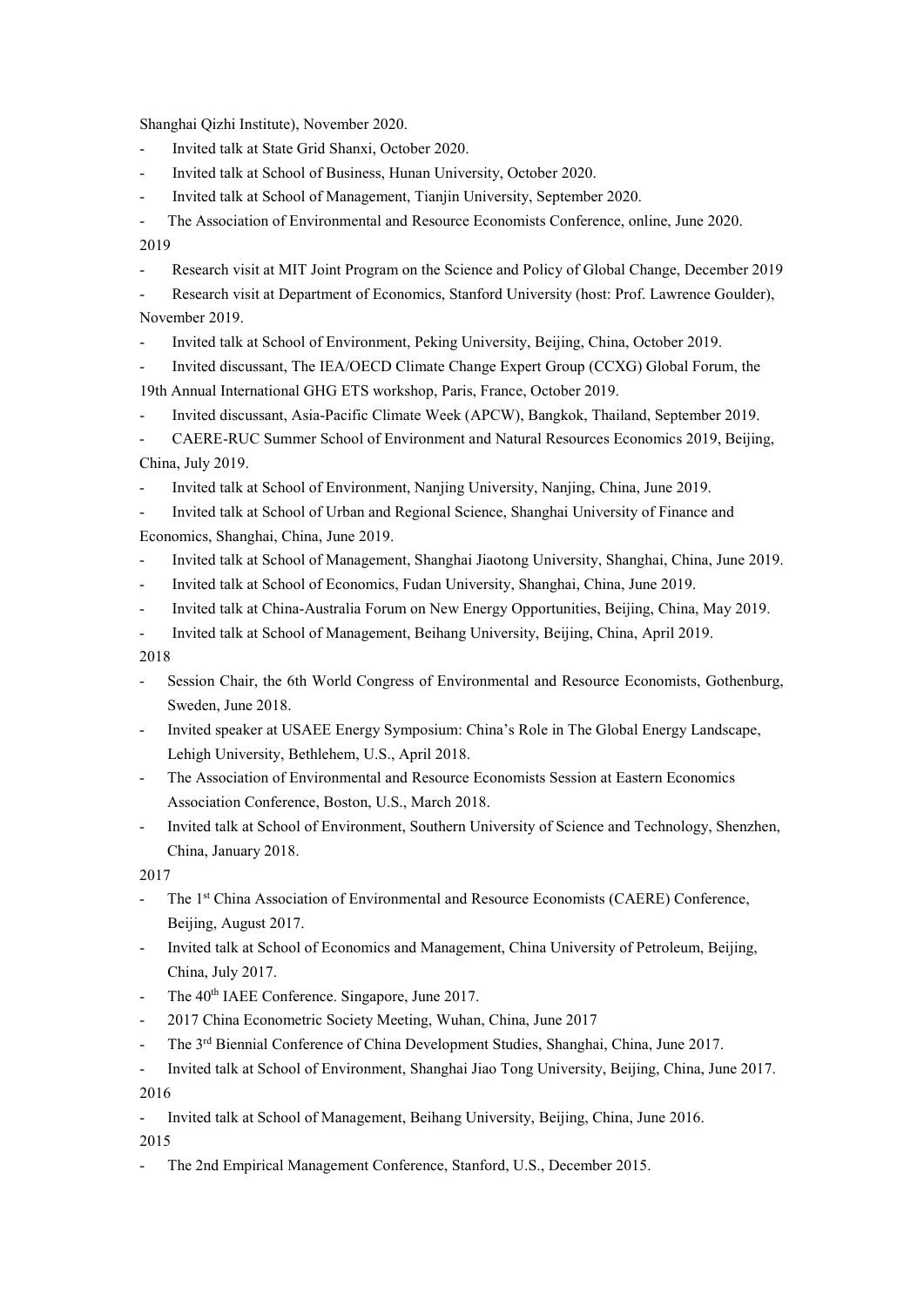Shanghai Qizhi Institute), November 2020.

- Invited talk at State Grid Shanxi, October 2020.
- Invited talk at School of Business, Hunan University, October 2020.
- Invited talk at School of Management, Tianjin University, September 2020.

The Association of Environmental and Resource Economists Conference, online, June 2020.

2019

Research visit at MIT Joint Program on the Science and Policy of Global Change, December 2019

- Research visit at Department of Economics, Stanford University (host: Prof. Lawrence Goulder), November 2019.

- Invited talk at School of Environment, Peking University, Beijing, China, October 2019.

- Invited discussant, The IEA/OECD Climate Change Expert Group (CCXG) Global Forum, the

- 19th Annual International GHG ETS workshop, Paris, France, October 2019.
- Invited discussant, Asia-Pacific Climate Week (APCW), Bangkok, Thailand, September 2019.

- CAERE-RUC Summer School of Environment and Natural Resources Economics 2019, Beijing, China, July 2019.

- Invited talk at School of Environment, Nanjing University, Nanjing, China, June 2019.

- Invited talk at School of Urban and Regional Science, Shanghai University of Finance and Economics, Shanghai, China, June 2019.

- Invited talk at School of Management, Shanghai Jiaotong University, Shanghai, China, June 2019.
- Invited talk at School of Economics, Fudan University, Shanghai, China, June 2019.
- Invited talk at China-Australia Forum on New Energy Opportunities, Beijing, China, May 2019.
- Invited talk at School of Management, Beihang University, Beijing, China, April 2019.

2018

- Session Chair, the 6th World Congress of Environmental and Resource Economists, Gothenburg, Sweden, June 2018.
- Invited speaker at USAEE Energy Symposium: China's Role in The Global Energy Landscape, Lehigh University, Bethlehem, U.S., April 2018.
- The Association of Environmental and Resource Economists Session at Eastern Economics Association Conference, Boston, U.S., March 2018.
- Invited talk at School of Environment, Southern University of Science and Technology, Shenzhen, China, January 2018.

2017

- The 1<sup>st</sup> China Association of Environmental and Resource Economists (CAERE) Conference, Beijing, August 2017.
- Invited talk at School of Economics and Management, China University of Petroleum, Beijing, China, July 2017.
- The 40<sup>th</sup> IAEE Conference. Singapore, June 2017.
- 2017 China Econometric Society Meeting, Wuhan, China, June 2017
- The 3<sup>rd</sup> Biennial Conference of China Development Studies, Shanghai, China, June 2017.

- Invited talk at School of Environment, Shanghai Jiao Tong University, Beijing, China, June 2017. 2016

- Invited talk at School of Management, Beihang University, Beijing, China, June 2016.

2015

The 2nd Empirical Management Conference, Stanford, U.S., December 2015.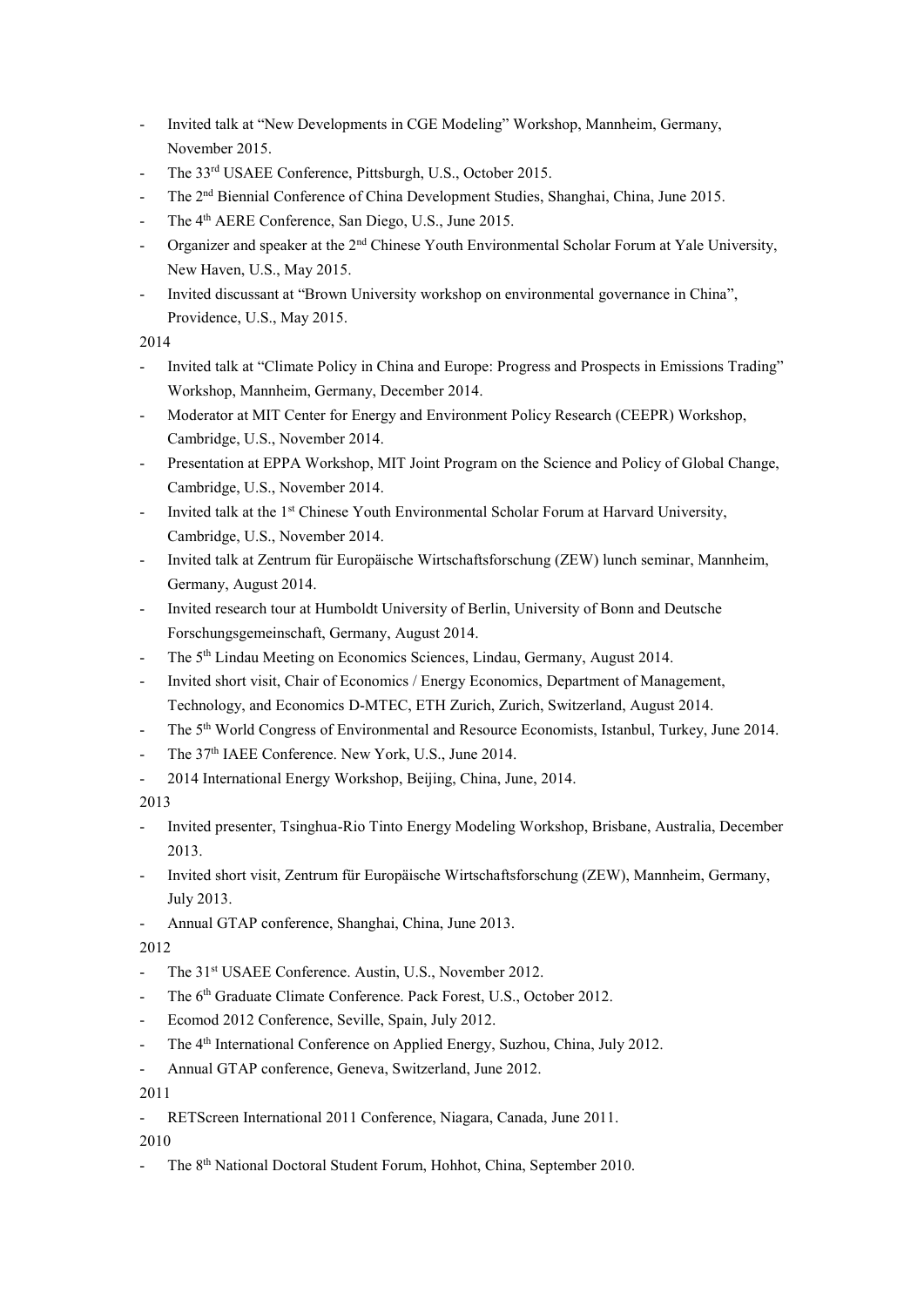- Invited talk at "New Developments in CGE Modeling" Workshop, Mannheim, Germany, November 2015.
- The 33<sup>rd</sup> USAEE Conference, Pittsburgh, U.S., October 2015.
- The 2<sup>nd</sup> Biennial Conference of China Development Studies, Shanghai, China, June 2015.
- The 4<sup>th</sup> AERE Conference, San Diego, U.S., June 2015.
- Organizer and speaker at the 2<sup>nd</sup> Chinese Youth Environmental Scholar Forum at Yale University, New Haven, U.S., May 2015.
- Invited discussant at "Brown University workshop on environmental governance in China", Providence, U.S., May 2015.

2014

- Invited talk at "Climate Policy in China and Europe: Progress and Prospects in Emissions Trading" Workshop, Mannheim, Germany, December 2014.
- Moderator at MIT Center for Energy and Environment Policy Research (CEEPR) Workshop, Cambridge, U.S., November 2014.
- Presentation at EPPA Workshop, MIT Joint Program on the Science and Policy of Global Change, Cambridge, U.S., November 2014.
- Invited talk at the 1<sup>st</sup> Chinese Youth Environmental Scholar Forum at Harvard University, Cambridge, U.S., November 2014.
- Invited talk at Zentrum für Europäische Wirtschaftsforschung (ZEW) lunch seminar, Mannheim, Germany, August 2014.
- Invited research tour at Humboldt University of Berlin, University of Bonn and Deutsche Forschungsgemeinschaft, Germany, August 2014.
- The 5<sup>th</sup> Lindau Meeting on Economics Sciences, Lindau, Germany, August 2014.
- Invited short visit, Chair of Economics / Energy Economics, Department of Management, Technology, and Economics D-MTEC, ETH Zurich, Zurich, Switzerland, August 2014.
- The 5<sup>th</sup> World Congress of Environmental and Resource Economists, Istanbul, Turkey, June 2014.
- The 37<sup>th</sup> IAEE Conference. New York, U.S., June 2014.
- 2014 International Energy Workshop, Beijing, China, June, 2014.

2013

- Invited presenter, Tsinghua-Rio Tinto Energy Modeling Workshop, Brisbane, Australia, December 2013.
- Invited short visit, Zentrum für Europäische Wirtschaftsforschung (ZEW), Mannheim, Germany, July 2013.
- Annual GTAP conference, Shanghai, China, June 2013.

2012

- The 31<sup>st</sup> USAEE Conference. Austin, U.S., November 2012.
- The 6<sup>th</sup> Graduate Climate Conference. Pack Forest, U.S., October 2012.
- Ecomod 2012 Conference, Seville, Spain, July 2012.
- The 4<sup>th</sup> International Conference on Applied Energy, Suzhou, China, July 2012.
- Annual GTAP conference, Geneva, Switzerland, June 2012.

2011

- RETScreen International 2011 Conference, Niagara, Canada, June 2011.

2010

The 8<sup>th</sup> National Doctoral Student Forum, Hohhot, China, September 2010.